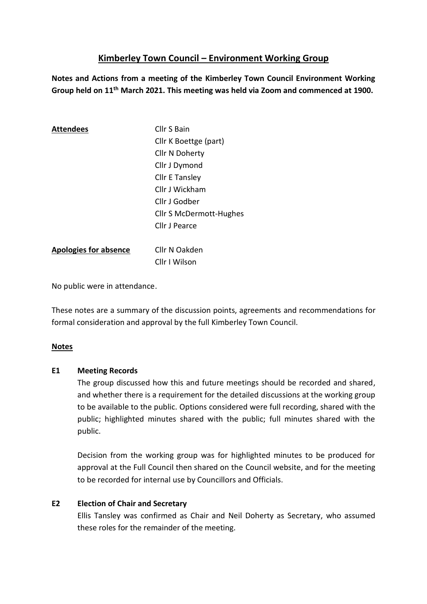# **Kimberley Town Council – Environment Working Group**

**Notes and Actions from a meeting of the Kimberley Town Council Environment Working Group held on 11th March 2021. This meeting was held via Zoom and commenced at 1900.** 

| <b>Attendees</b>             | Cllr S Bain                    |
|------------------------------|--------------------------------|
|                              | Cllr K Boettge (part)          |
|                              | Cllr N Doherty                 |
|                              | Cllr J Dymond                  |
|                              | <b>Cllr E Tansley</b>          |
|                              | Cllr J Wickham                 |
|                              | Cllr J Godber                  |
|                              | <b>Cllr S McDermott-Hughes</b> |
|                              | Cllr J Pearce                  |
|                              |                                |
| <b>Apologies for absence</b> | Cllr N Oakden                  |
|                              | Cllr I Wilson                  |

No public were in attendance.

These notes are a summary of the discussion points, agreements and recommendations for formal consideration and approval by the full Kimberley Town Council.

## **Notes**

#### **E1 Meeting Records**

The group discussed how this and future meetings should be recorded and shared, and whether there is a requirement for the detailed discussions at the working group to be available to the public. Options considered were full recording, shared with the public; highlighted minutes shared with the public; full minutes shared with the public.

Decision from the working group was for highlighted minutes to be produced for approval at the Full Council then shared on the Council website, and for the meeting to be recorded for internal use by Councillors and Officials.

## **E2 Election of Chair and Secretary**

Ellis Tansley was confirmed as Chair and Neil Doherty as Secretary, who assumed these roles for the remainder of the meeting.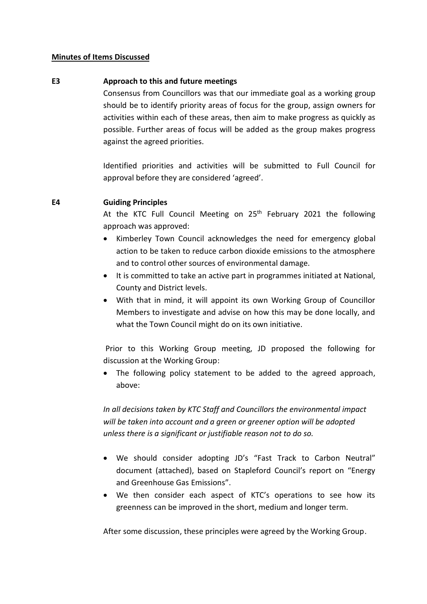#### **Minutes of Items Discussed**

#### **E3 Approach to this and future meetings**

Consensus from Councillors was that our immediate goal as a working group should be to identify priority areas of focus for the group, assign owners for activities within each of these areas, then aim to make progress as quickly as possible. Further areas of focus will be added as the group makes progress against the agreed priorities.

Identified priorities and activities will be submitted to Full Council for approval before they are considered 'agreed'.

#### **E4 Guiding Principles**

At the KTC Full Council Meeting on 25<sup>th</sup> February 2021 the following approach was approved:

- Kimberley Town Council acknowledges the need for emergency global action to be taken to reduce carbon dioxide emissions to the atmosphere and to control other sources of environmental damage.
- It is committed to take an active part in programmes initiated at National, County and District levels.
- With that in mind, it will appoint its own Working Group of Councillor Members to investigate and advise on how this may be done locally, and what the Town Council might do on its own initiative.

Prior to this Working Group meeting, JD proposed the following for discussion at the Working Group:

• The following policy statement to be added to the agreed approach, above:

*In all decisions taken by KTC Staff and Councillors the environmental impact will be taken into account and a green or greener option will be adopted unless there is a significant or justifiable reason not to do so.*

- We should consider adopting JD's "Fast Track to Carbon Neutral" document (attached), based on Stapleford Council's report on "Energy and Greenhouse Gas Emissions".
- We then consider each aspect of KTC's operations to see how its greenness can be improved in the short, medium and longer term.

After some discussion, these principles were agreed by the Working Group.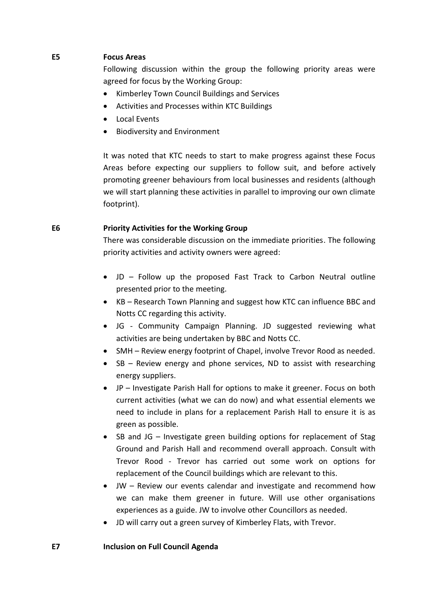### **E5 Focus Areas**

Following discussion within the group the following priority areas were agreed for focus by the Working Group:

- Kimberley Town Council Buildings and Services
- Activities and Processes within KTC Buildings
- Local Events
- Biodiversity and Environment

It was noted that KTC needs to start to make progress against these Focus Areas before expecting our suppliers to follow suit, and before actively promoting greener behaviours from local businesses and residents (although we will start planning these activities in parallel to improving our own climate footprint).

#### **E6 Priority Activities for the Working Group**

There was considerable discussion on the immediate priorities. The following priority activities and activity owners were agreed:

- JD Follow up the proposed Fast Track to Carbon Neutral outline presented prior to the meeting.
- KB Research Town Planning and suggest how KTC can influence BBC and Notts CC regarding this activity.
- JG Community Campaign Planning. JD suggested reviewing what activities are being undertaken by BBC and Notts CC.
- SMH Review energy footprint of Chapel, involve Trevor Rood as needed.
- SB Review energy and phone services, ND to assist with researching energy suppliers.
- JP Investigate Parish Hall for options to make it greener. Focus on both current activities (what we can do now) and what essential elements we need to include in plans for a replacement Parish Hall to ensure it is as green as possible.
- SB and JG Investigate green building options for replacement of Stag Ground and Parish Hall and recommend overall approach. Consult with Trevor Rood - Trevor has carried out some work on options for replacement of the Council buildings which are relevant to this.
- JW Review our events calendar and investigate and recommend how we can make them greener in future. Will use other organisations experiences as a guide. JW to involve other Councillors as needed.
- JD will carry out a green survey of Kimberley Flats, with Trevor.

#### **E7 Inclusion on Full Council Agenda**